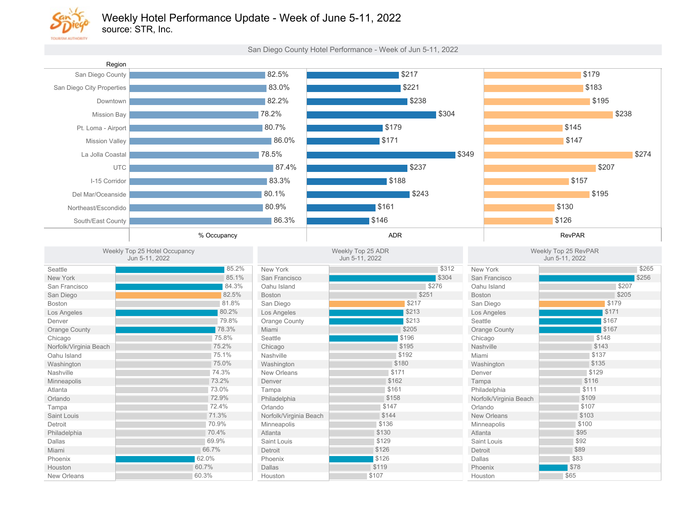

source: STR, Inc.

San Diego County Hotel Performance - Week of Jun 5-11, 2022

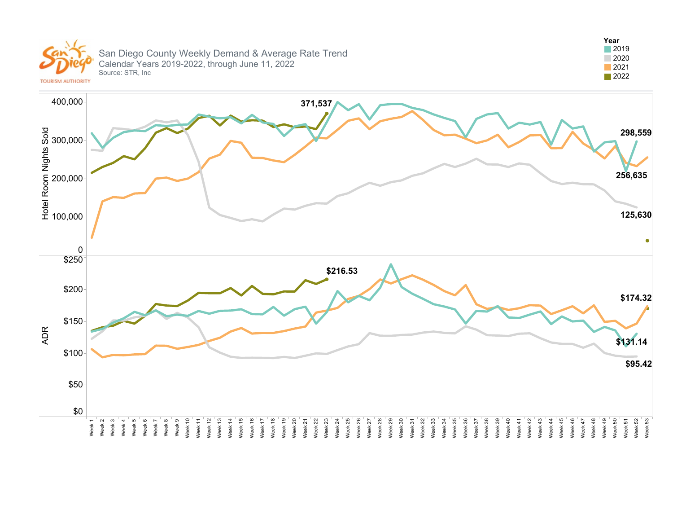

San Diego County Weekly Demand & Average Rate Trend Calendar Years 2019-2022, through June 11, 2022 Source: STR, Inc



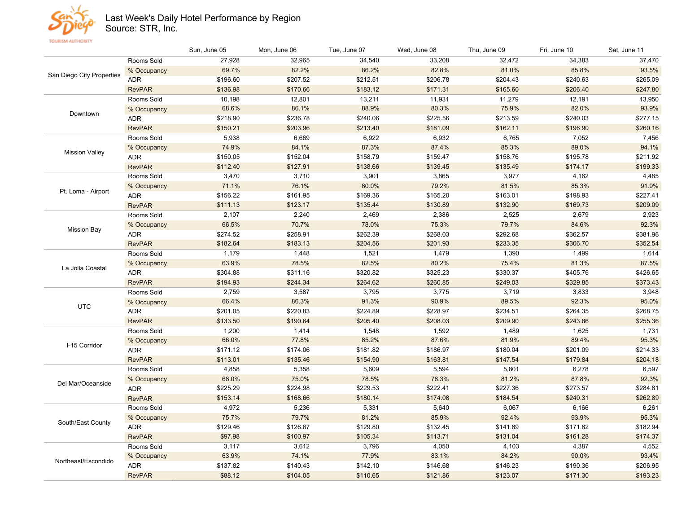

 $\frac{1}{2}$ 

## Last Week's Daily Hotel Performance by Region

Source: STR, Inc.

| <b>TOURISM AUTHORITY</b>  |               | Sun, June 05 | Mon, June 06 | Tue, June 07 | Wed, June 08 | Thu, June 09 | Fri, June 10 | Sat, June 11   |
|---------------------------|---------------|--------------|--------------|--------------|--------------|--------------|--------------|----------------|
|                           | Rooms Sold    | 27,928       | 32,965       | 34,540       | 33,208       | 32,472       | 34,383       | 37,4           |
| San Diego City Properties | % Occupancy   | 69.7%        | 82.2%        | 86.2%        | 82.8%        | 81.0%        | 85.8%        | 93.            |
|                           | ADR           | \$196.60     | \$207.52     | \$212.51     | \$206.78     | \$204.43     | \$240.63     | \$265          |
|                           | <b>RevPAR</b> | \$136.98     | \$170.66     | \$183.12     | \$171.31     | \$165.60     | \$206.40     | \$247          |
| Downtown                  | Rooms Sold    | 10,198       | 12,801       | 13,211       | 11,931       | 11,279       | 12,191       | 13,9           |
|                           | % Occupancy   | 68.6%        | 86.1%        | 88.9%        | 80.3%        | 75.9%        | 82.0%        | 93.            |
|                           | ADR           | \$218.90     | \$236.78     | \$240.06     | \$225.56     | \$213.59     | \$240.03     | \$277          |
|                           | <b>RevPAR</b> | \$150.21     | \$203.96     | \$213.40     | \$181.09     | \$162.11     | \$196.90     | \$260          |
| <b>Mission Valley</b>     | Rooms Sold    | 5,938        | 6,669        | 6,922        | 6,932        | 6,765        | 7,052        | 7,4            |
|                           | % Occupancy   | 74.9%        | 84.1%        | 87.3%        | 87.4%        | 85.3%        | 89.0%        | 94.            |
|                           | <b>ADR</b>    | \$150.05     | \$152.04     | \$158.79     | \$159.47     | \$158.76     | \$195.78     | \$211          |
|                           | <b>RevPAR</b> | \$112.40     | \$127.91     | \$138.66     | \$139.45     | \$135.49     | \$174.17     | \$199          |
|                           | Rooms Sold    | 3,470        | 3,710        | 3,901        | 3,865        | 3,977        | 4,162        | 4,4            |
|                           | % Occupancy   | 71.1%        | 76.1%        | 80.0%        | 79.2%        | 81.5%        | 85.3%        | 91.            |
| Pt. Loma - Airport        | ADR           | \$156.22     | \$161.95     | \$169.36     | \$165.20     | \$163.01     | \$198.93     | \$227          |
|                           | <b>RevPAR</b> | \$111.13     | \$123.17     | \$135.44     | \$130.89     | \$132.90     | \$169.73     | \$209          |
|                           | Rooms Sold    | 2,107        | 2,240        | 2,469        | 2,386        | 2,525        | 2,679        | 2,9            |
| <b>Mission Bay</b>        | % Occupancy   | 66.5%        | 70.7%        | 78.0%        | 75.3%        | 79.7%        | 84.6%        | 92.3           |
|                           | <b>ADR</b>    | \$274.52     | \$258.91     | \$262.39     | \$268.03     | \$292.68     | \$362.57     | \$381          |
|                           | <b>RevPAR</b> | \$182.64     | \$183.13     | \$204.56     | \$201.93     | \$233.35     | \$306.70     | \$352          |
| La Jolla Coastal          | Rooms Sold    | 1,179        | 1,448        | 1,521        | 1,479        | 1,390        | 1,499        | 1,6            |
|                           | % Occupancy   | 63.9%        | 78.5%        | 82.5%        | 80.2%        | 75.4%        | 81.3%        | 87.            |
|                           | <b>ADR</b>    | \$304.88     | \$311.16     | \$320.82     | \$325.23     | \$330.37     | \$405.76     | \$426          |
|                           | <b>RevPAR</b> | \$194.93     | \$244.34     | \$264.62     | \$260.85     | \$249.03     | \$329.85     | \$373          |
|                           | Rooms Sold    | 2,759        | 3,587        | 3,795        | 3,775        | 3,719        | 3,833        | 3 <sub>5</sub> |

|                       | <b>RevPAR</b> | \$150.21 | \$203.96 | \$213.40 | \$181.09 | \$162.11 | \$196.90 | \$260.16 |
|-----------------------|---------------|----------|----------|----------|----------|----------|----------|----------|
| <b>Mission Vallev</b> | Rooms Sold    | 5,938    | 6,669    | 6,922    | 6,932    | 6,765    | 7,052    | 7,456    |
|                       | % Occupancy   | 74.9%    | 84.1%    | 87.3%    | 87.4%    | 85.3%    | 89.0%    | 94.1%    |
|                       | <b>ADR</b>    | \$150.05 | \$152.04 | \$158.79 | \$159.47 | \$158.76 | \$195.78 | \$211.92 |
|                       | <b>RevPAR</b> | \$112.40 | \$127.91 | \$138.66 | \$139.45 | \$135.49 | \$174.17 | \$199.33 |
|                       | Rooms Sold    | 3,470    | 3,710    | 3,901    | 3,865    | 3,977    | 4,162    | 4,485    |
| Pt. Loma - Airport    | % Occupancy   | 71.1%    | 76.1%    | 80.0%    | 79.2%    | 81.5%    | 85.3%    | 91.9%    |
|                       | <b>ADR</b>    | \$156.22 | \$161.95 | \$169.36 | \$165.20 | \$163.01 | \$198.93 | \$227.41 |
|                       | <b>RevPAR</b> | \$111.13 | \$123.17 | \$135.44 | \$130.89 | \$132.90 | \$169.73 | \$209.09 |
|                       | Rooms Sold    | 2,107    | 2,240    | 2,469    | 2,386    | 2,525    | 2,679    | 2,923    |
|                       | % Occupancy   | 66.5%    | 70.7%    | 78.0%    | 75.3%    | 79.7%    | 84.6%    | 92.3%    |
| <b>Mission Bay</b>    | <b>ADR</b>    | \$274.52 | \$258.91 | \$262.39 | \$268.03 | \$292.68 | \$362.57 | \$381.96 |
|                       | <b>RevPAR</b> | \$182.64 | \$183.13 | \$204.56 | \$201.93 | \$233.35 | \$306.70 | \$352.54 |
|                       | Rooms Sold    | 1,179    | 1,448    | 1,521    | 1,479    | 1,390    | 1,499    | 1,614    |
| La Jolla Coastal      | % Occupancy   | 63.9%    | 78.5%    | 82.5%    | 80.2%    | 75.4%    | 81.3%    | 87.5%    |
|                       | <b>ADR</b>    | \$304.88 | \$311.16 | \$320.82 | \$325.23 | \$330.37 | \$405.76 | \$426.65 |
|                       | <b>RevPAR</b> | \$194.93 | \$244.34 | \$264.62 | \$260.85 | \$249.03 | \$329.85 | \$373.43 |
| <b>UTC</b>            | Rooms Sold    | 2,759    | 3,587    | 3,795    | 3,775    | 3,719    | 3,833    | 3,948    |
|                       | % Occupancy   | 66.4%    | 86.3%    | 91.3%    | 90.9%    | 89.5%    | 92.3%    | 95.0%    |
|                       | <b>ADR</b>    | \$201.05 | \$220.83 | \$224.89 | \$228.97 | \$234.51 | \$264.35 | \$268.75 |
|                       | <b>RevPAR</b> | \$133.50 | \$190.64 | \$205.40 | \$208.03 | \$209.90 | \$243.86 | \$255.36 |
|                       | Rooms Sold    | 1,200    | 1,414    | 1,548    | 1,592    | 1,489    | 1,625    | 1,731    |
| I-15 Corridor         | % Occupancy   | 66.0%    | 77.8%    | 85.2%    | 87.6%    | 81.9%    | 89.4%    | 95.3%    |
|                       | <b>ADR</b>    | \$171.12 | \$174.06 | \$181.82 | \$186.97 | \$180.04 | \$201.09 | \$214.33 |
|                       | <b>RevPAR</b> | \$113.01 | \$135.46 | \$154.90 | \$163.81 | \$147.54 | \$179.84 | \$204.18 |
|                       | Rooms Sold    | 4,858    | 5,358    | 5,609    | 5,594    | 5,801    | 6,278    | 6,597    |
| Del Mar/Oceanside     | % Occupancy   | 68.0%    | 75.0%    | 78.5%    | 78.3%    | 81.2%    | 87.8%    | 92.3%    |
|                       | <b>ADR</b>    | \$225.29 | \$224.98 | \$229.53 | \$222.41 | \$227.36 | \$273.57 | \$284.81 |
|                       | <b>RevPAR</b> | \$153.14 | \$168.66 | \$180.14 | \$174.08 | \$184.54 | \$240.31 | \$262.89 |
|                       | Rooms Sold    | 4,972    | 5,236    | 5,331    | 5,640    | 6,067    | 6,166    | 6,261    |
|                       | % Occupancy   | 75.7%    | 79.7%    | 81.2%    | 85.9%    | 92.4%    | 93.9%    | 95.3%    |
| South/East County     | <b>ADR</b>    | \$129.46 | \$126.67 | \$129.80 | \$132.45 | \$141.89 | \$171.82 | \$182.94 |
|                       | <b>RevPAR</b> | \$97.98  | \$100.97 | \$105.34 | \$113.71 | \$131.04 | \$161.28 | \$174.37 |
|                       | Rooms Sold    | 3,117    | 3,612    | 3,796    | 4,050    | 4,103    | 4,387    | 4,552    |
|                       | % Occupancy   | 63.9%    | 74.1%    | 77.9%    | 83.1%    | 84.2%    | 90.0%    | 93.4%    |
| Northeast/Escondido   | <b>ADR</b>    | \$137.82 | \$140.43 | \$142.10 | \$146.68 | \$146.23 | \$190.36 | \$206.95 |
|                       | <b>RevPAR</b> | \$88.12  | \$104.05 | \$110.65 | \$121.86 | \$123.07 | \$171.30 | \$193.23 |
|                       |               |          |          |          |          |          |          |          |

\$247.80 \$265.09 93.5% 37,470

\$277.15 93.9% 13,950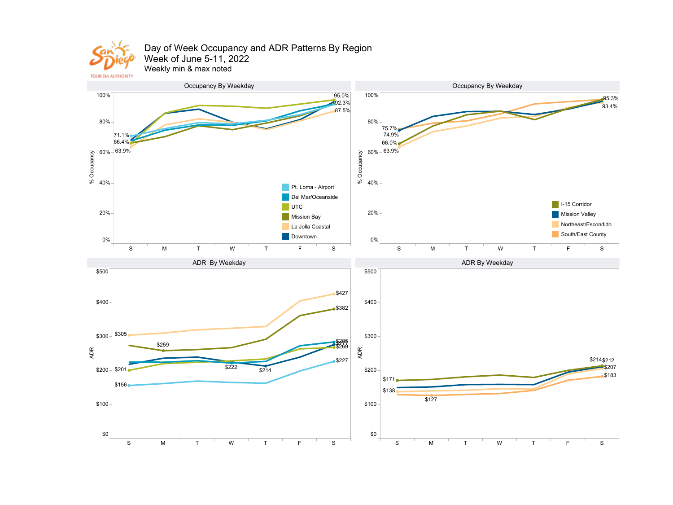

## Day of Week Occupancy and ADR Patterns By Region Week of June 5-11, 2022

Weekly min & max noted